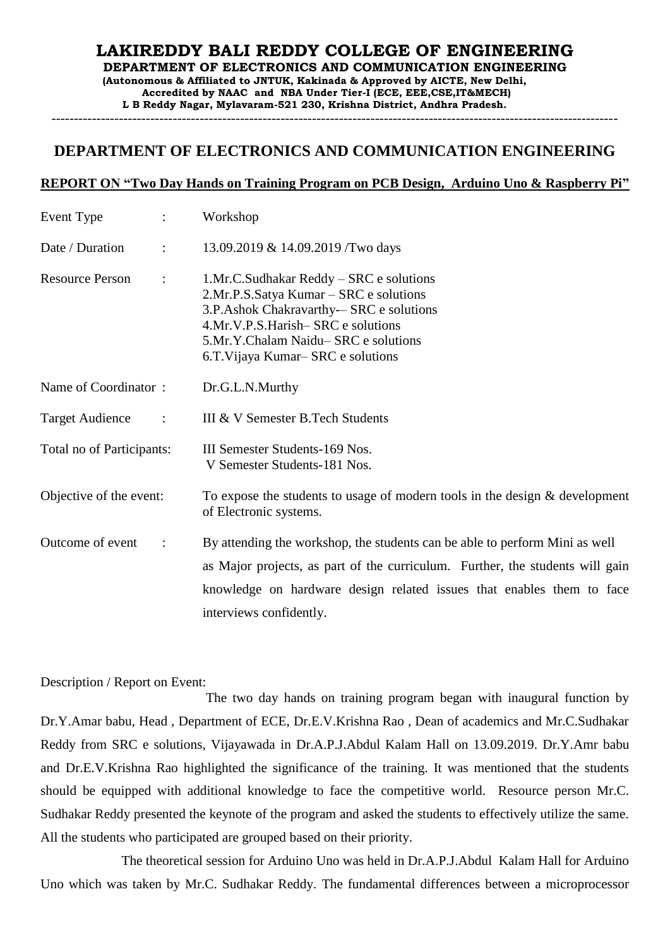## **LAKIREDDY BALI REDDY COLLEGE OF ENGINEERING DEPARTMENT OF ELECTRONICS AND COMMUNICATION ENGINEERING (Autonomous & Affiliated to JNTUK, Kakinada & Approved by AICTE, New Delhi, Accredited by NAAC and NBA Under Tier-I (ECE, EEE,CSE,IT&MECH) L B Reddy Nagar, Mylavaram-521 230, Krishna District, Andhra Pradesh.**

------------------------------------------------------------------------------------------------------------------------------

## **DEPARTMENT OF ELECTRONICS AND COMMUNICATION ENGINEERING**

## **REPORT ON "Two Day Hands on Training Program on PCB Design, Arduino Uno & Raspberry Pi"**

| Event Type<br>$\ddot{\phantom{0}}$             | Workshop                                                                                                                                                                                                                                                         |
|------------------------------------------------|------------------------------------------------------------------------------------------------------------------------------------------------------------------------------------------------------------------------------------------------------------------|
| Date / Duration<br>$\ddot{\cdot}$              | 13.09.2019 & 14.09.2019 / Two days                                                                                                                                                                                                                               |
| <b>Resource Person</b><br>$\ddot{\cdot}$       | 1.Mr.C.Sudhakar Reddy – SRC e solutions<br>2.Mr.P.S.Satya Kumar – SRC e solutions<br>3.P.Ashok Chakravarthy--SRC e solutions<br>4.Mr.V.P.S.Harish-SRC e solutions<br>5.Mr.Y.Chalam Naidu-SRC e solutions<br>6.T. Vijaya Kumar–SRC e solutions                    |
| Name of Coordinator:                           | Dr.G.L.N.Murthy                                                                                                                                                                                                                                                  |
| <b>Target Audience</b><br>$\ddot{\phantom{a}}$ | III & V Semester B.Tech Students                                                                                                                                                                                                                                 |
| Total no of Participants:                      | III Semester Students-169 Nos.<br>V Semester Students-181 Nos.                                                                                                                                                                                                   |
| Objective of the event:                        | To expose the students to usage of modern tools in the design $\&$ development<br>of Electronic systems.                                                                                                                                                         |
| Outcome of event<br>$\ddot{\phantom{a}}$       | By attending the workshop, the students can be able to perform Mini as well<br>as Major projects, as part of the curriculum. Further, the students will gain<br>knowledge on hardware design related issues that enables them to face<br>interviews confidently. |

Description / Report on Event:

The two day hands on training program began with inaugural function by Dr.Y.Amar babu, Head , Department of ECE, Dr.E.V.Krishna Rao , Dean of academics and Mr.C.Sudhakar Reddy from SRC e solutions, Vijayawada in Dr.A.P.J.Abdul Kalam Hall on 13.09.2019. Dr.Y.Amr babu and Dr.E.V.Krishna Rao highlighted the significance of the training. It was mentioned that the students should be equipped with additional knowledge to face the competitive world. Resource person Mr.C. Sudhakar Reddy presented the keynote of the program and asked the students to effectively utilize the same. All the students who participated are grouped based on their priority.

The theoretical session for Arduino Uno was held in Dr.A.P.J.Abdul Kalam Hall for Arduino Uno which was taken by Mr.C. Sudhakar Reddy. The fundamental differences between a microprocessor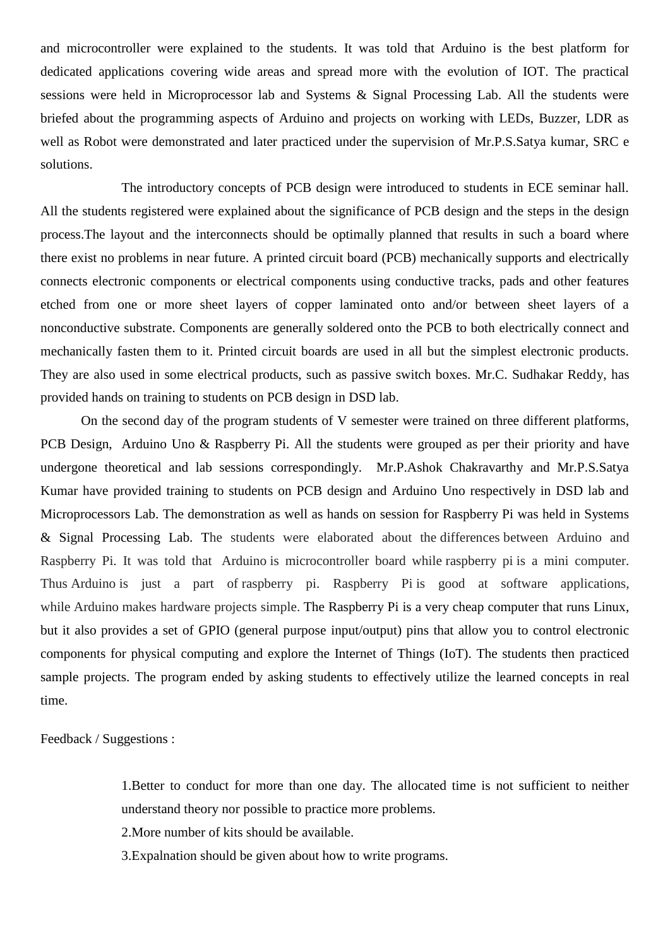and microcontroller were explained to the students. It was told that Arduino is the best platform for dedicated applications covering wide areas and spread more with the evolution of IOT. The practical sessions were held in Microprocessor lab and Systems & Signal Processing Lab. All the students were briefed about the programming aspects of Arduino and projects on working with LEDs, Buzzer, LDR as well as Robot were demonstrated and later practiced under the supervision of Mr.P.S.Satya kumar, SRC e solutions.

The introductory concepts of PCB design were introduced to students in ECE seminar hall. All the students registered were explained about the significance of PCB design and the steps in the design process.The layout and the interconnects should be optimally planned that results in such a board where there exist no problems in near future. A printed circuit board (PCB) mechanically supports and electrically connects electronic components or electrical components using conductive tracks, pads and other features etched from one or more sheet layers of copper laminated onto and/or between sheet layers of a nonconductive substrate. Components are generally soldered onto the PCB to both electrically connect and mechanically fasten them to it. Printed circuit boards are used in all but the simplest electronic products. They are also used in some electrical products, such as passive switch boxes. Mr.C. Sudhakar Reddy, has provided hands on training to students on PCB design in DSD lab.

On the second day of the program students of V semester were trained on three different platforms, PCB Design, Arduino Uno & Raspberry Pi. All the students were grouped as per their priority and have undergone theoretical and lab sessions correspondingly. Mr.P.Ashok Chakravarthy and Mr.P.S.Satya Kumar have provided training to students on PCB design and Arduino Uno respectively in DSD lab and Microprocessors Lab. The demonstration as well as hands on session for Raspberry Pi was held in Systems & Signal Processing Lab. The students were elaborated about the differences between Arduino and Raspberry Pi. It was told that Arduino is microcontroller board while raspberry pi is a mini computer. Thus Arduino is just a part of raspberry pi. Raspberry Pi is good at software applications, while Arduino makes hardware projects simple. The Raspberry Pi is a very cheap computer that runs Linux, but it also provides a set of GPIO (general purpose input/output) pins that allow you to control electronic components for physical computing and explore the Internet of Things (IoT). The students then practiced sample projects. The program ended by asking students to effectively utilize the learned concepts in real time.

Feedback / Suggestions :

1.Better to conduct for more than one day. The allocated time is not sufficient to neither understand theory nor possible to practice more problems.

2.More number of kits should be available.

3.Expalnation should be given about how to write programs.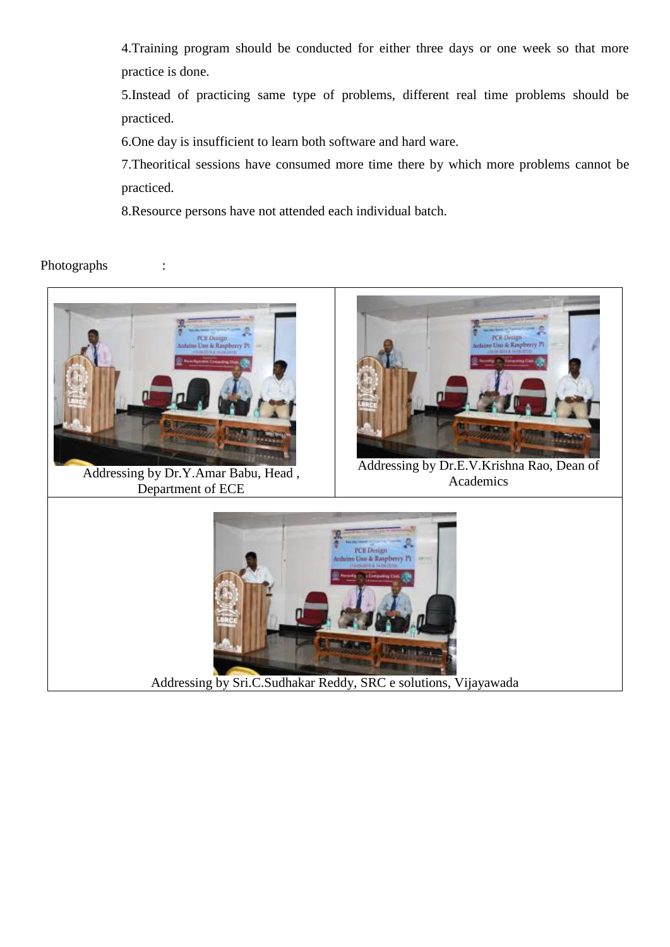4.Training program should be conducted for either three days or one week so that more practice is done.

5.Instead of practicing same type of problems, different real time problems should be practiced.

6.One day is insufficient to learn both software and hard ware.

7.Theoritical sessions have consumed more time there by which more problems cannot be practiced.

8.Resource persons have not attended each individual batch.

## Photographs :